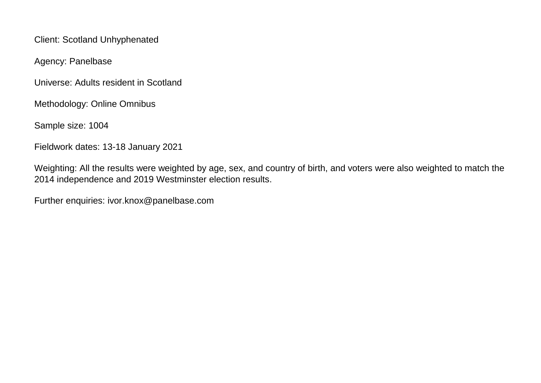Client: Scotland Unhyphenated

Agency: Panelbase

Universe: Adults resident in Scotland

Methodology: Online Omnibus

Sample size: 1004

Fieldwork dates: 13-18 January 2021

Weighting: All the results were weighted by age, sex, and country of birth, and voters were also weighted to match the 2014 independence and 2019 Westminster election results.

Further enquiries: ivor.knox@panelbase.com